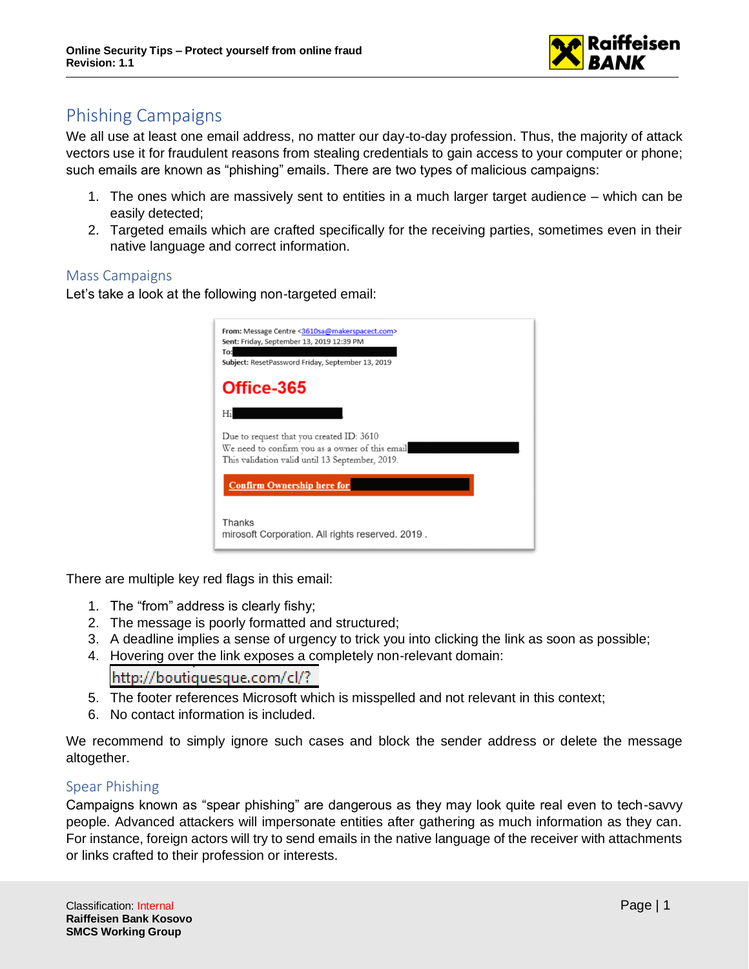

## Phishing Campaigns

We all use at least one email address, no matter our day-to-day profession. Thus, the majority of attack vectors use it for fraudulent reasons from stealing credentials to gain access to your computer or phone; such emails are known as "phishing" emails. There are two types of malicious campaigns:

- 1. The ones which are massively sent to entities in a much larger target audience which can be easily detected;
- 2. Targeted emails which are crafted specifically for the receiving parties, sometimes even in their native language and correct information.

## Mass Campaigns

Let's take a look at the following non-targeted email:

| From: Message Centre <3610sa@makerspacect.com><br>Sent: Friday, September 13, 2019 12:39 PM<br>To:<br>Subject: ResetPassword Friday, September 13, 2019 |  |
|---------------------------------------------------------------------------------------------------------------------------------------------------------|--|
| Office-365                                                                                                                                              |  |
| Hi                                                                                                                                                      |  |
| Due to request that you created ID: 3610<br>We need to confirm you as a owner of this email<br>This validation valid until 13 September, 2019.          |  |
| <b>Confirm Ownership here for</b>                                                                                                                       |  |
| Thanks<br>mirosoft Corporation. All rights reserved. 2019.                                                                                              |  |

There are multiple key red flags in this email:

- 1. The "from" address is clearly fishy;
- 2. The message is poorly formatted and structured;
- 3. A deadline implies a sense of urgency to trick you into clicking the link as soon as possible;
- 4. Hovering over the link exposes a completely non-relevant domain:

http://boutiquesque.com/cl/?

- 5. The footer references Microsoft which is misspelled and not relevant in this context;
- 6. No contact information is included.

We recommend to simply ignore such cases and block the sender address or delete the message altogether.

## Spear Phishing

Campaigns known as "spear phishing" are dangerous as they may look quite real even to tech-savvy people. Advanced attackers will impersonate entities after gathering as much information as they can. For instance, foreign actors will try to send emails in the native language of the receiver with attachments or links crafted to their profession or interests.